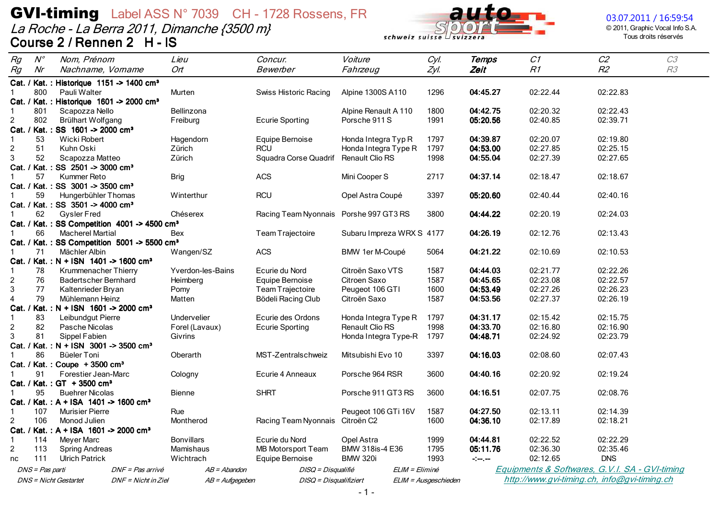La Roche - La Berra 2011, Dimanche {3500 m}<br>Course 2 / Rennen 2 H - IS



#### 03.07.2011 / 16:59:54

© 2011, Graphic Vocal Info S.A. Tous droits réservés

| Rg             | $N^{\circ}$     | Nom, Prénom                                                      |                     | Lieu              | Concur.                                | Voiture                   | Cyl.                 | <b>Temps</b>  | C1                                             | C2         | C3 |
|----------------|-----------------|------------------------------------------------------------------|---------------------|-------------------|----------------------------------------|---------------------------|----------------------|---------------|------------------------------------------------|------------|----|
| Rg             | Nr              | Nachname, Vorname                                                |                     | Ort               | Bewerber                               | Fahrzeug                  | Zyl.                 | Zeit          | R1                                             | R2         | R3 |
|                |                 | Cat. / Kat.: Historique 1151 -> 1400 cm <sup>3</sup>             |                     |                   |                                        |                           |                      |               |                                                |            |    |
|                | 800             | Pauli Walter                                                     |                     | Murten            | Swiss Historic Racing                  | Alpine 1300S A110         | 1296                 | 04:45.27      | 02:22.44                                       | 02:22.83   |    |
|                |                 | Cat. / Kat. : Historique 1601 -> 2000 cm <sup>3</sup>            |                     |                   |                                        |                           |                      |               |                                                |            |    |
| -1             | 801             | Scapozza Nello                                                   |                     | Bellinzona        |                                        | Alpine Renault A 110      | 1800                 | 04:42.75      | 02:20.32                                       | 02:22.43   |    |
| $\overline{c}$ | 802             | Brülhart Wolfgang                                                |                     | Freiburg          | <b>Ecurie Sporting</b>                 | Porsche 911 S             | 1991                 | 05:20.56      | 02:40.85                                       | 02:39.71   |    |
|                |                 | Cat. / Kat.: SS 1601 -> 2000 cm <sup>3</sup>                     |                     |                   |                                        |                           |                      |               |                                                |            |    |
| $\mathbf 1$    | 53              | Wicki Robert                                                     |                     | Hagendorn         | Equipe Bernoise                        | Honda Integra Typ R       | 1797                 | 04:39.87      | 02:20.07                                       | 02:19.80   |    |
| $\overline{c}$ | 51              | Kuhn Oski                                                        |                     | Zürich            | <b>RCU</b>                             | Honda Integra Type R      | 1797                 | 04:53.00      | 02:27.85                                       | 02:25.15   |    |
| 3              | 52              | Scapozza Matteo                                                  |                     | Zürich            | Squadra Corse Quadrif                  | Renault Clio RS           | 1998                 | 04:55.04      | 02:27.39                                       | 02:27.65   |    |
|                |                 | Cat. / Kat.: SS 2501 -> 3000 cm <sup>3</sup>                     |                     |                   |                                        |                           |                      |               |                                                |            |    |
|                | 57              | Kummer Reto                                                      |                     | <b>Brig</b>       | <b>ACS</b>                             | Mini Cooper S             | 2717                 | 04:37.14      | 02:18.47                                       | 02:18.67   |    |
|                |                 | Cat. / Kat.: SS 3001 -> 3500 cm <sup>3</sup>                     |                     |                   |                                        |                           |                      |               |                                                |            |    |
|                | 59              | Hungerbühler Thomas                                              |                     | Winterthur        | <b>RCU</b>                             | Opel Astra Coupé          | 3397                 | 05:20.60      | 02:40.44                                       | 02:40.16   |    |
|                |                 | Cat. / Kat.: SS 3501 -> 4000 cm <sup>3</sup>                     |                     |                   |                                        |                           |                      |               |                                                |            |    |
|                | 62              | <b>Gysler Fred</b>                                               |                     | Chéserex          | Racing Team Nyonnais Porshe 997 GT3 RS |                           | 3800                 | 04:44.22      | 02:20.19                                       | 02:24.03   |    |
|                |                 | Cat. / Kat.: SS Competition 4001 -> 4500 cm <sup>3</sup>         |                     |                   |                                        |                           |                      |               |                                                |            |    |
|                | 66              | <b>Macherel Martial</b>                                          |                     | Bex               | Team Trajectoire                       | Subaru Impreza WRX S 4177 |                      | 04:26.19      | 02:12.76                                       | 02:13.43   |    |
|                |                 | Cat. / Kat.: SS Competition 5001 -> 5500 cm <sup>3</sup>         |                     |                   |                                        |                           |                      |               |                                                |            |    |
| $\mathbf 1$    | 71              | Mächler Albin                                                    |                     | Wangen/SZ         | <b>ACS</b>                             | BMW 1er M-Coupé           | 5064                 | 04:21.22      | 02:10.69                                       | 02:10.53   |    |
|                |                 | Cat. / Kat.: N + ISN 1401 -> 1600 cm <sup>3</sup>                |                     |                   |                                        |                           |                      |               |                                                |            |    |
| 1              | 78              | Krummenacher Thierry                                             |                     | Yverdon-les-Bains | Ecurie du Nord                         | Citroën Saxo VTS          | 1587                 | 04:44.03      | 02:21.77                                       | 02:22.26   |    |
| $\overline{c}$ | 76              | <b>Badertscher Bernhard</b>                                      |                     | Heimberg          | Equipe Bernoise                        | Citroen Saxo              | 1587                 | 04:45.65      | 02:23.08                                       | 02:22.57   |    |
| 3              | 77              | Kaltenrieder Bryan                                               |                     | Pomy              | Team Trajectoire                       | Peugeot 106 GTI           | 1600                 | 04:53.49      | 02:27.26                                       | 02:26.23   |    |
| $\overline{4}$ | 79              | Mühlemann Heinz                                                  |                     | Matten            | Bödeli Racing Club                     | Citroën Saxo              | 1587                 | 04:53.56      | 02:27.37                                       | 02:26.19   |    |
|                |                 | Cat. / Kat.: N + ISN 1601 -> 2000 cm <sup>3</sup>                |                     |                   |                                        |                           |                      |               |                                                |            |    |
| 1              | 83              | Leibundgut Pierre                                                |                     | Undervelier       | Ecurie des Ordons                      | Honda Integra Type R      | 1797                 | 04:31.17      | 02:15.42                                       | 02:15.75   |    |
| $\overline{c}$ | 82              | Pasche Nicolas                                                   |                     | Forel (Lavaux)    | <b>Ecurie Sporting</b>                 | <b>Renault Clio RS</b>    | 1998                 | 04:33.70      | 02:16.80                                       | 02:16.90   |    |
| 3              | 81              | Sippel Fabien                                                    |                     | Givrins           |                                        | Honda Integra Type-R      | 1797                 | 04:48.71      | 02:24.92                                       | 02:23.79   |    |
|                |                 | Cat. / Kat.: N + ISN 3001 -> 3500 cm <sup>3</sup>                |                     |                   |                                        |                           |                      |               |                                                |            |    |
|                | 86              | Büeler Toni                                                      |                     | Oberarth          | MST-Zentralschweiz                     | Mitsubishi Evo 10         | 3397                 | 04:16.03      | 02:08.60                                       | 02:07.43   |    |
| $\mathbf 1$    | 91              | Cat. / Kat.: Coupe + 3500 cm <sup>3</sup><br>Forestier Jean-Marc |                     |                   | Ecurie 4 Anneaux                       |                           |                      |               | 02:20.92                                       | 02:19.24   |    |
|                |                 | Cat. / Kat.: GT + 3500 cm <sup>3</sup>                           |                     | Cologny           |                                        | Porsche 964 RSR           | 3600                 | 04:40.16      |                                                |            |    |
|                | 95              | <b>Buehrer Nicolas</b>                                           |                     |                   | <b>SHRT</b>                            | Porsche 911 GT3 RS        | 3600                 | 04:16.51      | 02:07.75                                       | 02:08.76   |    |
|                |                 | Cat. / Kat.: A + ISA 1401 -> 1600 cm <sup>3</sup>                |                     | <b>Bienne</b>     |                                        |                           |                      |               |                                                |            |    |
| $\mathbf{1}$   | 107             | <b>Murisier Pierre</b>                                           |                     | Rue               |                                        | Peugeot 106 GTi 16V       | 1587                 | 04:27.50      | 02:13.11                                       | 02:14.39   |    |
| $\overline{c}$ | 106             | Monod Julien                                                     |                     | Montherod         | Racing Team Nyonnais                   | Citroën C2                | 1600                 | 04:36.10      | 02:17.89                                       | 02:18.21   |    |
|                |                 | Cat. / Kat.: A + ISA 1601 -> 2000 cm <sup>3</sup>                |                     |                   |                                        |                           |                      |               |                                                |            |    |
| $\mathbf{1}$   | 114             | <b>Meyer Marc</b>                                                |                     | <b>Bonvillars</b> | Ecurie du Nord                         | Opel Astra                | 1999                 | 04:44.81      | 02:22.52                                       | 02:22.29   |    |
| $\overline{c}$ | 113             | <b>Spring Andreas</b>                                            |                     | Mamishaus         | MB Motorsport Team                     | BMW 318is-4 E36           | 1795                 | 05:11.76      | 02:36.30                                       | 02:35.46   |    |
| nc             | 111             | <b>Ulrich Patrick</b>                                            |                     | Wichtrach         | Equipe Bernoise                        | <b>BMW 320i</b>           | 1993                 | $-1-\epsilon$ | 02:12.65                                       | <b>DNS</b> |    |
|                |                 |                                                                  | DNF = Pas arrivé    |                   |                                        |                           | ELIM = Eliminé       |               | Equipments & Softwares, G.V.I. SA - GVI-timing |            |    |
|                | DNS = Pas parti |                                                                  |                     | $AB = Abandon$    | DISQ = Disqualifié                     |                           |                      |               |                                                |            |    |
|                |                 | <b>DNS</b> = Nicht Gestartet                                     | DNF = Nicht in Ziel | AB = Aufgegeben   | DISQ = Disqualifiziert                 |                           | ELIM = Ausgeschieden |               | http://www.gvi-timing.ch, info@gvi-timing.ch   |            |    |

 $-1-$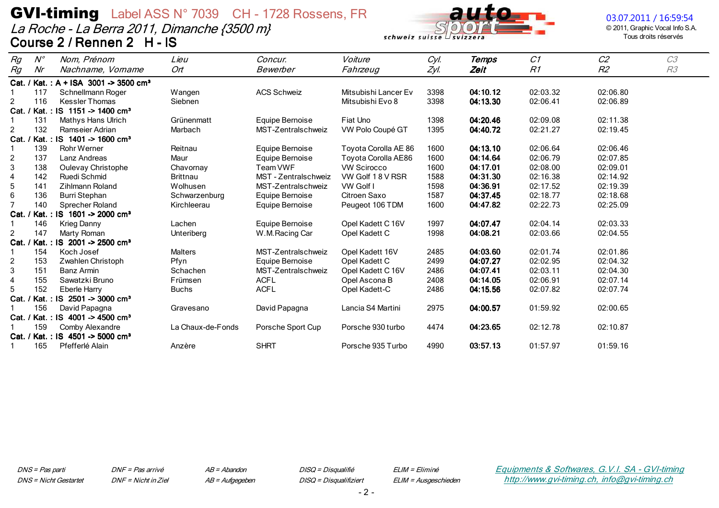La Roche - La Berra 2011, Dimanche {3500 m} Course 2 / Rennen 2 H - IS



#### 03.07.2011 / 16:59:54

© 2011, Graphic Vocal Info S.A. Tous droits réservés

| Rg                      | $N^{\circ}$ | Nom, Prénom                                  | Lieu              | Concur.              | Voiture              | Cyl. | Temps    | C1       | C <sub>2</sub> | C3 |
|-------------------------|-------------|----------------------------------------------|-------------------|----------------------|----------------------|------|----------|----------|----------------|----|
| Rg                      | Nr          | Nachname, Vorname                            | Ort               | Bewerber             | Fahrzeug             | Zyl. | Zeit     | R1       | R2             | R3 |
| Cat. /                  |             | Kat.: $A + ISA$ 3001 -> 3500 cm <sup>3</sup> |                   |                      |                      |      |          |          |                |    |
|                         | 117         | Schnellmann Roger                            | Wangen            | <b>ACS Schweiz</b>   | Mitsubishi Lancer Ev | 3398 | 04:10.12 | 02:03.32 | 02:06.80       |    |
| $\overline{2}$          | 116         | <b>Kessler Thomas</b>                        | Siebnen           |                      | Mitsubishi Evo 8     | 3398 | 04:13.30 | 02:06.41 | 02:06.89       |    |
| Cat.                    |             | Kat.: IS 1151 -> 1400 cm <sup>3</sup>        |                   |                      |                      |      |          |          |                |    |
|                         | 131         | <b>Mathys Hans Ulrich</b>                    | Grünenmatt        | Equipe Bernoise      | Fiat Uno             | 1398 | 04:20.46 | 02:09.08 | 02:11.38       |    |
| $\overline{c}$          | 132         | Ramseier Adrian                              | Marbach           | MST-Zentralschweiz   | VW Polo Coupé GT     | 1395 | 04:40.72 | 02:21.27 | 02:19.45       |    |
| Cat.                    |             | Kat.: IS 1401 -> 1600 cm <sup>3</sup>        |                   |                      |                      |      |          |          |                |    |
|                         | 139         | <b>Rohr Werner</b>                           | Reitnau           | Equipe Bernoise      | Toyota Corolla AE 86 | 1600 | 04:13.10 | 02:06.64 | 02:06.46       |    |
| 2                       | 137         | Lanz Andreas                                 | Maur              | Equipe Bernoise      | Toyota Corolla AE86  | 1600 | 04:14.64 | 02:06.79 | 02:07.85       |    |
| 3                       | 138         | Oulevay Christophe                           | Chavornay         | Team VWF             | <b>VW Scirocco</b>   | 1600 | 04:17.01 | 02:08.00 | 02:09.01       |    |
| $\overline{\mathbf{4}}$ | 142         | Ruedi Schmid                                 | <b>Brittnau</b>   | MST - Zentralschweiz | VW Golf 18 V RSR     | 1588 | 04:31.30 | 02:16.38 | 02:14.92       |    |
| 5                       | 141         | <b>Zihlmann Roland</b>                       | Wolhusen          | MST-Zentralschweiz   | VW Golf I            | 1598 | 04:36.91 | 02:17.52 | 02:19.39       |    |
| 6                       | 136         | Burri Stephan                                | Schwarzenburg     | Equipe Bernoise      | Citroen Saxo         | 1587 | 04:37.45 | 02:18.77 | 02:18.68       |    |
| $\overline{7}$          | 140         | Sprecher Roland                              | Kirchleerau       | Equipe Bernoise      | Peugeot 106 TDM      | 1600 | 04:47.82 | 02:22.73 | 02:25.09       |    |
| Cat.                    |             | Kat.: IS 1601 -> 2000 cm <sup>3</sup>        |                   |                      |                      |      |          |          |                |    |
|                         | 146         | <b>Krieg Danny</b>                           | Lachen            | Equipe Bernoise      | Opel Kadett C 16V    | 1997 | 04:07.47 | 02:04.14 | 02:03.33       |    |
| $\overline{a}$          | 147         | Marty Roman                                  | Unteriberg        | W.M.Racing Car       | Opel Kadett C        | 1998 | 04:08.21 | 02:03.66 | 02:04.55       |    |
| Cat.                    |             | Kat.: IS 2001 -> 2500 cm <sup>3</sup>        |                   |                      |                      |      |          |          |                |    |
|                         | 154         | Koch Josef                                   | <b>Malters</b>    | MST-Zentralschweiz   | Opel Kadett 16V      | 2485 | 04:03.60 | 02:01.74 | 02:01.86       |    |
| $\overline{c}$          | 153         | Zwahlen Christoph                            | Pfyn              | Equipe Bernoise      | Opel Kadett C        | 2499 | 04:07.27 | 02:02.95 | 02:04.32       |    |
| 3                       | 151         | Banz Armin                                   | Schachen          | MST-Zentralschweiz   | Opel Kadett C 16V    | 2486 | 04:07.41 | 02:03.11 | 02:04.30       |    |
| 4                       | 155         | Sawatzki Bruno                               | Frümsen           | <b>ACFL</b>          | Opel Ascona B        | 2408 | 04:14.05 | 02:06.91 | 02:07.14       |    |
| 5                       | 152         | Eberle Harry                                 | <b>Buchs</b>      | <b>ACFL</b>          | Opel Kadett-C        | 2486 | 04:15.56 | 02:07.82 | 02:07.74       |    |
|                         |             | Cat. / Kat.: IS 2501 -> 3000 cm <sup>3</sup> |                   |                      |                      |      |          |          |                |    |
|                         | 156         | David Papagna                                | Gravesano         | David Papagna        | Lancia S4 Martini    | 2975 | 04:00.57 | 01:59.92 | 02:00.65       |    |
|                         |             | Cat. / Kat.: IS 4001 -> 4500 cm <sup>3</sup> |                   |                      |                      |      |          |          |                |    |
|                         | 159         | Comby Alexandre                              | La Chaux-de-Fonds | Porsche Sport Cup    | Porsche 930 turbo    | 4474 | 04:23.65 | 02:12.78 | 02:10.87       |    |
| Cat. /                  |             | Kat.: IS 4501 -> 5000 cm <sup>3</sup>        |                   |                      |                      |      |          |          |                |    |
|                         | 165         | Pfefferlé Alain                              | Anzère            | <b>SHRT</b>          | Porsche 935 Turbo    | 4990 | 03:57.13 | 01:57.97 | 01:59.16       |    |

DNS = Pas parti **DNS** = Nicht Gestartet DNF = Pas arrivé DNF = Nicht in Ziel  $AB = Abandon$ AB = Aufgegeben DISQ = Disqualifié DISQ = Disqualifiziert ELIM = Eliminé ELIM = Ausgeschieden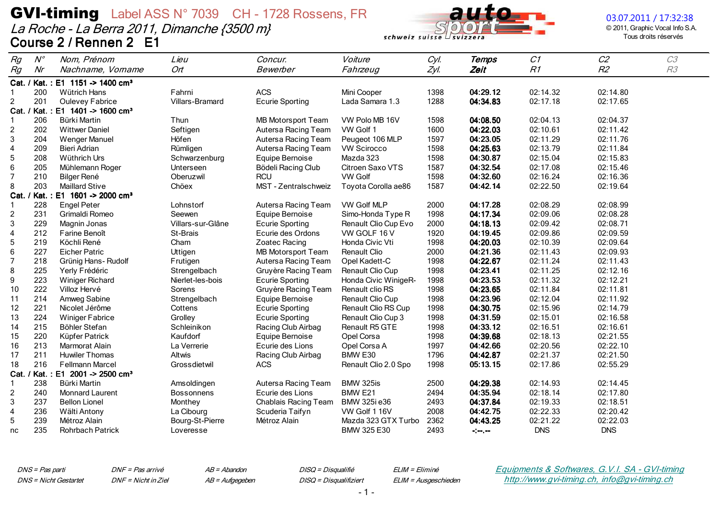La Roche - La Berra 2011, Dimanche {3500 m} Course 2 / Rennen 2 E1



03.07.2011 / 17:32:38

© 2011, Graphic Vocal Info S.A. Tous droits réservés

| Rg                      | $N^{\circ}$ | Nom, Prénom                                  | Lieu              | Concur.                   | Voiture              | Cyl. | <b>Temps</b>                    | C1         | C <sub>2</sub> | C3 |
|-------------------------|-------------|----------------------------------------------|-------------------|---------------------------|----------------------|------|---------------------------------|------------|----------------|----|
| Rg                      | Nr          | Nachname, Vorname                            | Ort               | Bewerber                  | Fahrzeug             | Zyl. | Zeit                            | R1         | R <sub>2</sub> | R3 |
|                         |             | Cat. / Kat.: E1 1151 -> 1400 cm <sup>3</sup> |                   |                           |                      |      |                                 |            |                |    |
|                         | 200         | Wütrich Hans                                 | Fahrni            | ACS                       | Mini Cooper          | 1398 | 04:29.12                        | 02:14.32   | 02:14.80       |    |
| $\overline{a}$          | 201         | <b>Oulevey Fabrice</b>                       | Villars-Bramard   | <b>Ecurie Sporting</b>    | Lada Samara 1.3      | 1288 | 04:34.83                        | 02:17.18   | 02:17.65       |    |
|                         |             | Cat. / Kat.: E1 1401 -> 1600 cm <sup>3</sup> |                   |                           |                      |      |                                 |            |                |    |
| -1                      | 206         | Bürki Martin                                 | Thun              | MB Motorsport Team        | VW Polo MB 16V       | 1598 | 04:08.50                        | 02:04.13   | 02:04.37       |    |
| 2                       | 202         | <b>Wittwer Daniel</b>                        | Seftigen          | Autersa Racing Team       | VW Golf 1            | 1600 | 04:22.03                        | 02:10.61   | 02:11.42       |    |
| 3                       | 204         | <b>Wenger Manuel</b>                         | Höfen             | Autersa Racing Team       | Peugeot 106 MLP      | 1597 | 04:23.05                        | 02:11.29   | 02:11.76       |    |
| $\overline{\mathbf{4}}$ | 209         | <b>Bieri Adrian</b>                          | Rümligen          | Autersa Racing Team       | <b>VW Scirocco</b>   | 1598 | 04:25.63                        | 02:13.79   | 02:11.84       |    |
| 5                       | 208         | Wüthrich Urs                                 | Schwarzenburg     | Equipe Bernoise           | Mazda 323            | 1598 | 04:30.87                        | 02:15.04   | 02:15.83       |    |
| 6                       | 205         | Mühlemann Roger                              | Unterseen         | Bödeli Racing Club        | Citroen Saxo VTS     | 1587 | 04:32.54                        | 02:17.08   | 02:15.46       |    |
| $\overline{7}$          | 210         | <b>Bilger René</b>                           | Oberuzwil         | <b>RCU</b>                | <b>VW Golf</b>       | 1598 | 04:32.60                        | 02:16.24   | 02:16.36       |    |
| 8                       | 203         | <b>Maillard Stive</b>                        | Chöex             | MST - Zentralschweiz      | Toyota Corolla ae86  | 1587 | 04:42.14                        | 02:22.50   | 02:19.64       |    |
|                         |             | Cat. / Kat.: E1 1601 -> 2000 cm <sup>3</sup> |                   |                           |                      |      |                                 |            |                |    |
|                         | 228         | <b>Engel Peter</b>                           | Lohnstorf         | Autersa Racing Team       | VW Golf MLP          | 2000 | 04:17.28                        | 02:08.29   | 02:08.99       |    |
| $\overline{a}$          | 231         | Grimaldi Romeo                               | Seewen            | Equipe Bernoise           | Simo-Honda Type R    | 1998 | 04:17.34                        | 02:09.06   | 02:08.28       |    |
| 3                       | 229         | Magnin Jonas                                 | Villars-sur-Glâne | <b>Ecurie Sporting</b>    | Renault Clio Cup Evo | 2000 | 04:18.13                        | 02:09.42   | 02:08.71       |    |
| 4                       | 212         | Farine Benoît                                | St-Brais          | Ecurie des Ordons         | VW GOLF 16 V         | 1920 | 04:19.45                        | 02:09.86   | 02:09.59       |    |
| 5                       | 219         | Köchli René                                  | Cham              | Zoatec Racing             | Honda Civic Vti      | 1998 | 04:20.03                        | 02:10.39   | 02:09.64       |    |
| 6                       | 227         | <b>Eicher Patric</b>                         | Uttigen           | <b>MB Motorsport Team</b> | Renault Clio         | 2000 | 04:21.36                        | 02:11.43   | 02:09.93       |    |
| $\overline{7}$          | 218         | Grünig Hans-Rudolf                           | Frutigen          | Autersa Racing Team       | Opel Kadett-C        | 1998 | 04:22.67                        | 02:11.24   | 02:11.43       |    |
| 8                       | 225         | Yerly Frédéric                               | Strengelbach      | Gruyère Racing Team       | Renault Clio Cup     | 1998 | 04:23.41                        | 02:11.25   | 02:12.16       |    |
| 9                       | 223         | <b>Winiger Richard</b>                       | Nierlet-les-bois  | <b>Ecurie Sporting</b>    | Honda Civic WinigeR- | 1998 | 04:23.53                        | 02:11.32   | 02:12.21       |    |
| 10                      | 222         | Villoz Hervé                                 | Sorens            | Gruyère Racing Team       | Renault clio RS      | 1998 | 04:23.65                        | 02:11.84   | 02:11.81       |    |
| 11                      | 214         | Amweg Sabine                                 | Strengelbach      | Equipe Bernoise           | Renault Clio Cup     | 1998 | 04:23.96                        | 02:12.04   | 02:11.92       |    |
| 12                      | 221         | Nicolet Jérôme                               | Cottens           | <b>Ecurie Sporting</b>    | Renault Clio RS Cup  | 1998 | 04:30.75                        | 02:15.96   | 02:14.79       |    |
| 13                      | 224         | Winiger Fabrice                              | Grolley           | <b>Ecurie Sporting</b>    | Renault Clio Cup 3   | 1998 | 04:31.59                        | 02:15.01   | 02:16.58       |    |
| 14                      | 215         | Böhler Stefan                                | Schleinikon       | Racing Club Airbag        | Renault R5 GTE       | 1998 | 04:33.12                        | 02:16.51   | 02:16.61       |    |
| 15                      | 220         | Küpfer Patrick                               | Kaufdorf          | Equipe Bernoise           | Opel Corsa           | 1998 | 04:39.68                        | 02:18.13   | 02:21.55       |    |
| 16                      | 213         | Marmorat Alain                               | La Verrerie       | Ecurie des Lions          | Opel Corsa A         | 1997 | 04:42.66                        | 02:20.56   | 02:22.10       |    |
| 17                      | 211         | <b>Huwiler Thomas</b>                        | Altwis            | Racing Club Airbag        | BMW E30              | 1796 | 04:42.87                        | 02:21.37   | 02:21.50       |    |
| 18                      | 216         | <b>Fellmann Marcel</b>                       | Grossdietwil      | <b>ACS</b>                | Renault Clio 2.0 Spo | 1998 | 05:13.15                        | 02:17.86   | 02:55.29       |    |
| Cat.                    |             | Kat.: E1 2001 -> 2500 cm <sup>3</sup>        |                   |                           |                      |      |                                 |            |                |    |
|                         | 238         | Bürki Martin                                 | Amsoldingen       | Autersa Racing Team       | BMW 325is            | 2500 | 04:29.38                        | 02:14.93   | 02:14.45       |    |
| 2                       | 240         | Monnard Laurent                              | <b>Bossonnens</b> | Ecurie des Lions          | BMW <sub>E21</sub>   | 2494 | 04:35.94                        | 02:18.14   | 02:17.80       |    |
| 3                       | 237         | <b>Bellon Lionel</b>                         | Monthey           | Chablais Racing Team      | BMW 325i e36         | 2493 | 04:37.84                        | 02:19.33   | 02:18.51       |    |
| $\overline{\mathbf{4}}$ | 236         | Wälti Antony                                 | La Cibourg        | Scuderia Taifyn           | VW Golf 1 16V        | 2008 | 04:42.75                        | 02:22.33   | 02:20.42       |    |
| 5                       | 239         | Métroz Alain                                 | Bourg-St-Pierre   | Métroz Alain              | Mazda 323 GTX Turbo  | 2362 | 04:43.25                        | 02:21.22   | 02:22.03       |    |
| nc                      | 235         | Rohrbach Patrick                             | Loveresse         |                           | BMW 325 E30          | 2493 | $\frac{1}{2}$ and $\frac{1}{2}$ | <b>DNS</b> | <b>DNS</b>     |    |

DNS = Pas parti **DNS** = Nicht Gestartet DNF = Pas arrivé DNF = Nicht in Ziel  $AB = Abandon$ AB = Aufgegeben DISQ = Disqualifié DISQ = Disqualifiziert ELIM = Eliminé ELIM = Ausgeschieden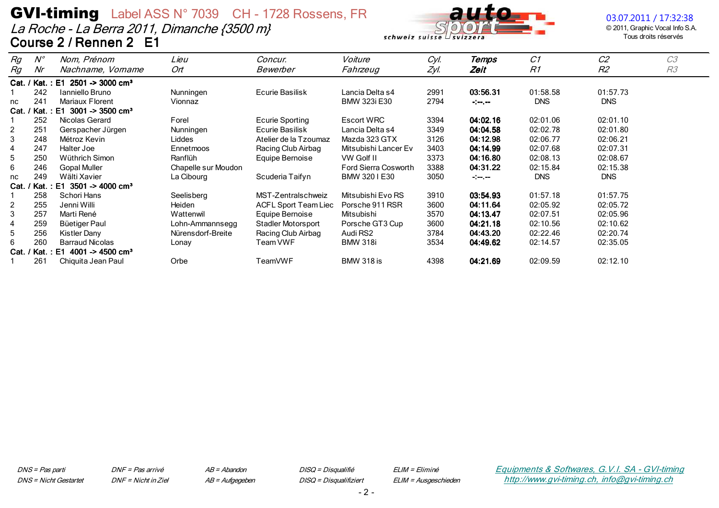La Roche - La Berra 2011, Dimanche {3500 m} Course 2 / Rennen 2 E1



### 03.07.2011 / 17:32:38

© 2011, Graphic Vocal Info S.A. Tous droits réservés

| Rg<br>Rg | $N^{\circ}$<br>Nr | Nom, Prénom<br>Nachname, Vorname  | Lieu<br>Ort         | Concur.<br>Bewerber         | Voiture<br>Fahrzeug         | Cyl.<br>Zyl. | Temps<br>Zeit | C1<br>R1   | C <sub>2</sub><br>R <sub>2</sub> | C <sub>3</sub><br>R <sub>3</sub> |
|----------|-------------------|-----------------------------------|---------------------|-----------------------------|-----------------------------|--------------|---------------|------------|----------------------------------|----------------------------------|
|          | Cat. / Kat.: E1   | $2501 - 3000$ cm <sup>3</sup>     |                     |                             |                             |              |               |            |                                  |                                  |
|          | 242               | Ianniello Bruno                   | Nunningen           | Ecurie Basilisk             | Lancia Delta s4             | 2991         | 03:56.31      | 01:58.58   | 01:57.73                         |                                  |
| nc       | 241               | Mariaux Florent                   | Vionnaz             |                             | BMW 323i E30                | 2794         | $-1$          | <b>DNS</b> | <b>DNS</b>                       |                                  |
| $Cat.$ / | ' Kat. : E1       | $3001 - 3500$ cm <sup>3</sup>     |                     |                             |                             |              |               |            |                                  |                                  |
|          | 252               | Nicolas Gerard                    | Forel               | <b>Ecurie Sporting</b>      | <b>Escort WRC</b>           | 3394         | 04:02.16      | 02:01.06   | 02:01.10                         |                                  |
| 2        | 251               | Gerspacher Jürgen                 | Nunningen           | Ecurie Basilisk             | Lancia Delta s4             | 3349         | 04:04.58      | 02:02.78   | 02:01.80                         |                                  |
| 3        | 248               | Métroz Kevin                      | Liddes              | Atelier de la Tzoumaz       | Mazda 323 GTX               | 3126         | 04:12.98      | 02:06.77   | 02:06.21                         |                                  |
| 4        | 247               | Halter Joe                        | <b>Ennetmoos</b>    | Racing Club Airbag          | Mitsubishi Lancer Ev        | 3403         | 04:14.99      | 02:07.68   | 02:07.31                         |                                  |
| 5        | 250               | Wüthrich Simon                    | Ranflüh             | Equipe Bernoise             | VW Golf II                  | 3373         | 04:16.80      | 02:08.13   | 02:08.67                         |                                  |
| 6        | 246               | <b>Gopal Muller</b>               | Chapelle sur Moudon |                             | <b>Ford Sierra Cosworth</b> | 3388         | 04:31.22      | 02:15.84   | 02:15.38                         |                                  |
| nc       | 249               | Wälti Xavier                      | La Cibourg          | Scuderia Taifyn             | BMW 320 I E30               | 3050         | $-1$          | <b>DNS</b> | <b>DNS</b>                       |                                  |
| Cat. /   | ' Kat. : E1       | 3501 -> 4000 cm <sup>3</sup>      |                     |                             |                             |              |               |            |                                  |                                  |
|          | 258               | Schori Hans                       | Seelisberg          | MST-Zentralschweiz          | Mitsubishi Evo RS           | 3910         | 03:54.93      | 01:57.18   | 01:57.75                         |                                  |
| 2        | 255               | Jenni Willi                       | Heiden              | <b>ACFL Sport Team Liec</b> | Porsche 911 RSR             | 3600         | 04:11.64      | 02:05.92   | 02:05.72                         |                                  |
| 3        | 257               | Marti René                        | Wattenwil           | Equipe Bernoise             | Mitsubishi                  | 3570         | 04:13.47      | 02:07.51   | 02:05.96                         |                                  |
| 4        | 259               | Büetiger Paul                     | Lohn-Ammannsegg     | Stadler Motorsport          | Porsche GT3 Cup             | 3600         | 04:21.18      | 02:10.56   | 02:10.62                         |                                  |
| 5        | 256               | Kistler Dany                      | Nürensdorf-Breite   | Racing Club Airbag          | Audi RS2                    | 3784         | 04:43.20      | 02:22.46   | 02:20.74                         |                                  |
| 6        | 260               | <b>Barraud Nicolas</b>            | Lonay               | Team VWF                    | <b>BMW 318i</b>             | 3534         | 04:49.62      | 02:14.57   | 02:35.05                         |                                  |
| Cat. /   | ' Kat.            | $E1$ 4001 -> 4500 cm <sup>3</sup> |                     |                             |                             |              |               |            |                                  |                                  |
|          | 261               | Chiquita Jean Paul                | Orbe                | TeamVWF                     | <b>BMW 318 is</b>           | 4398         | 04:21.69      | 02:09.59   | 02:12.10                         |                                  |

DNF = Pas arrivé DNF = Nicht in Ziel  $AB = Abandon$ AB = Aufgegeben DISQ = Disqualifié DISQ = Disqualifiziert ELIM = Eliminé ELIM = Ausgeschieden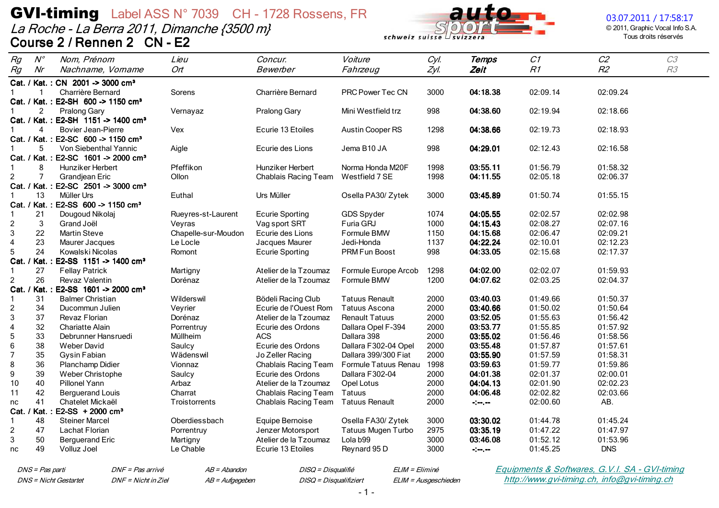La Roche - La Berra 2011, Dimanche {3500 m} Course 2 / Rennen 2 CN - E2



#### 03.07.2011 / 17:58:17

© 2011, Graphic Vocal Info S.A. Tous droits réservés

| Rg<br>Rg<br>Nr                | $N^{\circ}$    | Nom, Prénom<br>Nachname, Vorname                                | Lieu<br>Ort           | Concur.<br>Bewerber                        | Voiture<br>Fahrzeug       | Cyl.<br>Zyl. | Temps<br>Zeit                                                 | C1<br>R1             | C2<br>R2               | C3<br>R3 |
|-------------------------------|----------------|-----------------------------------------------------------------|-----------------------|--------------------------------------------|---------------------------|--------------|---------------------------------------------------------------|----------------------|------------------------|----------|
|                               |                |                                                                 |                       |                                            |                           |              |                                                               |                      |                        |          |
| $\mathbf{1}$                  |                | Cat. / Kat.: CN 2001 -> 3000 cm <sup>3</sup>                    |                       |                                            |                           |              |                                                               |                      |                        |          |
|                               |                | Charrière Bernard                                               | Sorens                | Charrière Bernard                          | <b>PRC Power Tec CN</b>   | 3000         | 04:18.38                                                      | 02:09.14             | 02:09.24               |          |
|                               | 2              | Cat. / Kat.: E2-SH 600 -> 1150 cm <sup>3</sup>                  |                       |                                            |                           | 998          | 04:38.60                                                      | 02:19.94             | 02:18.66               |          |
|                               |                | Pralong Gary<br>Cat. / Kat.: E2-SH 1151 -> 1400 cm <sup>3</sup> | Vernayaz              | Pralong Gary                               | Mini Westfield trz        |              |                                                               |                      |                        |          |
|                               | Δ              | <b>Bovier Jean-Pierre</b>                                       | Vex                   | Ecurie 13 Etoiles                          | Austin Cooper RS          | 1298         | 04:38.66                                                      | 02:19.73             | 02:18.93               |          |
|                               |                | Cat. / Kat.: E2-SC 600 -> 1150 cm <sup>3</sup>                  |                       |                                            |                           |              |                                                               |                      |                        |          |
|                               | 5              | Von Siebenthal Yannic                                           | Aigle                 | Ecurie des Lions                           | Jema B10 JA               | 998          | 04:29.01                                                      | 02:12.43             | 02:16.58               |          |
|                               |                | Cat. / Kat.: E2-SC 1601 -> 2000 cm <sup>3</sup>                 |                       |                                            |                           |              |                                                               |                      |                        |          |
|                               | 8              | Hunziker Herbert                                                | Pfeffikon             | Hunziker Herbert                           | Norma Honda M20F          | 1998         | 03:55.11                                                      | 01:56.79             | 01:58.32               |          |
| $\overline{c}$                | $\overline{7}$ | Grandjean Eric                                                  | Ollon                 | Chablais Racing Team                       | Westfield 7 SE            | 1998         | 04:11.55                                                      | 02:05.18             | 02:06.37               |          |
|                               |                | Cat. / Kat.: E2-SC 2501 -> 3000 cm <sup>3</sup>                 |                       |                                            |                           |              |                                                               |                      |                        |          |
|                               | 13             | Müller Urs                                                      | Euthal                | Urs Müller                                 | Osella PA30/ Zytek        | 3000         | 03:45.89                                                      | 01:50.74             | 01:55.15               |          |
|                               |                | Cat. / Kat.: E2-SS 600 -> 1150 cm <sup>3</sup>                  |                       |                                            |                           |              |                                                               |                      |                        |          |
| 21<br>$\mathbf{1}$            |                | Dougoud Nikolaj                                                 | Rueyres-st-Laurent    | <b>Ecurie Sporting</b>                     | GDS Spyder                | 1074         | 04:05.55                                                      | 02:02.57             | 02:02.98               |          |
| $\boldsymbol{2}$              | $\sqrt{3}$     | Grand Joël                                                      | Veyras                | Vag sport SRT                              | Furia GRJ                 | 1000         | 04:15.43                                                      | 02:08.27             | 02:07.16               |          |
| 3<br>22                       |                | <b>Martin Steve</b>                                             | Chapelle-sur-Moudon   | Ecurie des Lions                           | Formule BMW               | 1150         | 04:15.68                                                      | 02:06.47             | 02:09.21               |          |
| 23<br>$\overline{\mathbf{4}}$ |                | Maurer Jacques                                                  | Le Locle              | Jacques Maurer                             | Jedi-Honda                | 1137         | 04:22.24                                                      | 02:10.01             | 02:12.23               |          |
| 5<br>24                       |                | Kowalski Nicolas                                                | Romont                | <b>Ecurie Sporting</b>                     | <b>PRM Fun Boost</b>      | 998          | 04:33.05                                                      | 02:15.68             | 02:17.37               |          |
|                               |                | Cat. / Kat.: E2-SS 1151 -> 1400 cm <sup>3</sup>                 |                       |                                            |                           |              |                                                               |                      |                        |          |
| 27<br>$\mathbf{1}$            |                | <b>Fellay Patrick</b>                                           | Martigny              | Atelier de la Tzoumaz                      | Formule Europe Arcob      | 1298         | 04:02.00                                                      | 02:02.07             | 01:59.93               |          |
| 26<br>2                       |                | <b>Revaz Valentin</b>                                           | Dorénaz               | Atelier de la Tzoumaz                      | Formule BMW               | 1200         | 04:07.62                                                      | 02:03.25             | 02:04.37               |          |
|                               |                | Cat. / Kat.: E2-SS 1601 -> 2000 cm <sup>3</sup>                 |                       |                                            |                           |              |                                                               |                      |                        |          |
| 31<br>$\mathbf{1}$            |                | <b>Balmer Christian</b>                                         | Wilderswil            | Bödeli Racing Club                         | <b>Tatuus Renault</b>     | 2000         | 03:40.03                                                      | 01:49.66             | 01:50.37               |          |
| $\overline{c}$<br>34          |                | Ducommun Julien                                                 | Veyrier               | Ecurie de l'Ouest Rom                      | Tatuus Ascona             | 2000         | 03:40.66                                                      | 01:50.02             | 01:50.64               |          |
| 3<br>37                       |                | Revaz Florian                                                   | Dorénaz               | Atelier de la Tzoumaz                      | <b>Renault Tatuus</b>     | 2000         | 03:52.05                                                      | 01:55.63             | 01:56.42               |          |
| $\overline{\mathbf{4}}$<br>32 |                | <b>Chariatte Alain</b>                                          | Porrentruy            | Ecurie des Ordons                          | Dallara Opel F-394        | 2000         | 03:53.77                                                      | 01:55.85             | 01:57.92               |          |
| $\mathbf 5$<br>33             |                | Debrunner Hansruedi                                             | Müllheim              | <b>ACS</b>                                 | Dallara 398               | 2000         | 03:55.02                                                      | 01:56.46             | 01:58.56               |          |
| 6<br>38                       |                | <b>Weber David</b>                                              | Saulcy                | Ecurie des Ordons                          | Dallara F302-04 Opel      | 2000         | 03:55.48                                                      | 01:57.87             | 01:57.61               |          |
| $\overline{7}$<br>35          |                | Gysin Fabian                                                    | Wädenswil             | Jo Zeller Racing                           | Dallara 399/300 Fiat      | 2000         | 03:55.90                                                      | 01:57.59             | 01:58.31               |          |
| 8<br>36                       |                | Planchamp Didier                                                | Vionnaz               | Chablais Racing Team                       | Formule Tatuus Renau      | 1998         | 03:59.63                                                      | 01:59.77             | 01:59.86               |          |
| 39<br>9                       |                | Weber Christophe                                                | Saulcy                | Ecurie des Ordons                          | Dallara F302-04           | 2000         | 04:01.38                                                      | 02:01.37             | 02:00.01               |          |
| 40<br>10                      |                | Pillonel Yann                                                   | Arbaz                 | Atelier de la Tzoumaz                      | Opel Lotus                | 2000         | 04:04.13                                                      | 02:01.90             | 02:02.23               |          |
| 42<br>11                      |                | <b>Berguerand Louis</b>                                         | Charrat               | Chablais Racing Team                       | Tatuus                    | 2000         | 04:06.48                                                      | 02:02.82             | 02:03.66               |          |
| 41<br>nc                      |                | Chatelet Mickaël                                                | Troistorrents         | Chablais Racing Team                       | <b>Tatuus Renault</b>     | 2000         | $-1$ - $-1$ - $-$                                             | 02:00.60             | AB.                    |          |
| Cat. / Kat. :                 |                | $E2-SS + 2000 cm3$                                              |                       |                                            |                           |              |                                                               |                      |                        |          |
| 48<br>-1                      |                | <b>Steiner Marcel</b>                                           | Oberdiessbach         | Equipe Bernoise                            | Osella FA30/Zytek         | 3000         | 03:30.02                                                      | 01:44.78             | 01:45.24               |          |
| $\overline{c}$<br>47          |                | <b>Lachat Florian</b>                                           | Porrentruy            | Jenzer Motorsport                          | <b>Tatuus Mugen Turbo</b> | 2975         | 03:35.19                                                      | 01:47.22             | 01:47.97               |          |
| 3<br>50<br>49<br>nc           |                | <b>Berguerand Eric</b><br>Volluz Joel                           | Martigny<br>Le Chable | Atelier de la Tzoumaz<br>Ecurie 13 Etoiles | Lola b99<br>Reynard 95 D  | 3000<br>3000 | 03:46.08<br>$\frac{1}{2}$ and $\frac{1}{2}$ and $\frac{1}{2}$ | 01:52.12<br>01:45.25 | 01:53.96<br><b>DNS</b> |          |

DNS = Pas parti **DNS** = Nicht Gestartet

 $AB = Abandon$ DNF = Nicht in Ziel AB = Aufgegeben DISQ = Disqualifié DISQ = Disqualifiziert ELIM = Eliminé ELIM = Ausgeschieden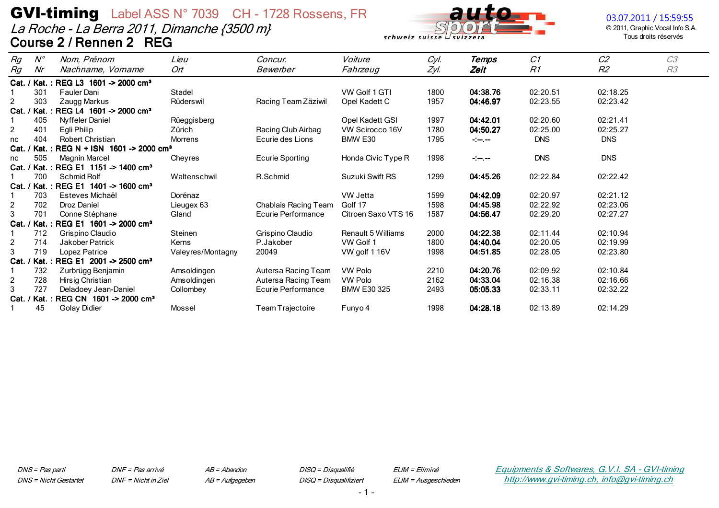La Roche - La Berra 2011, Dimanche {3500 m} Course 2 / Rennen 2 REG



© 2011, Graphic Vocal Info S.A. Tous droits réservés

| Rg       | $N^{\circ}$ | Nom, Prénom                                      | Lieu              | Concur.                | Voiture                   | Cyl. | Temps                                                                                                   | C1         | C <sub>2</sub> | C <sub>3</sub> |
|----------|-------------|--------------------------------------------------|-------------------|------------------------|---------------------------|------|---------------------------------------------------------------------------------------------------------|------------|----------------|----------------|
| Rg       | Nr          | Nachname, Vorname                                | Ort               | Bewerber               | Fahrzeug                  | Zyl. | Zeit                                                                                                    | R1         | R <sub>2</sub> | R <sub>3</sub> |
|          |             | Cat. / Kat.: REG L3 1601 -> 2000 cm <sup>3</sup> |                   |                        |                           |      |                                                                                                         |            |                |                |
|          | 301         | Fauler Dani                                      | Stadel            |                        | VW Golf 1 GTI             | 1800 | 04:38.76                                                                                                | 02:20.51   | 02:18.25       |                |
| 2        | 303         | Zaugg Markus                                     | Rüderswil         | Racing Team Zäziwil    | Opel Kadett C             | 1957 | 04:46.97                                                                                                | 02:23.55   | 02:23.42       |                |
| $Cat.$ / |             | Kat.: REG L4 1601 -> 2000 cm <sup>3</sup>        |                   |                        |                           |      |                                                                                                         |            |                |                |
|          | 405         | Nyffeler Daniel                                  | Rüeggisberg       |                        | Opel Kadett GSI           | 1997 | 04:42.01                                                                                                | 02:20.60   | 02:21.41       |                |
| 2        | 401         | Egli Philip                                      | Zürich            | Racing Club Airbag     | VW Scirocco 16V           | 1780 | 04:50.27                                                                                                | 02:25.00   | 02:25.27       |                |
| nc       | 404         | <b>Robert Christian</b>                          | Morrens           | Ecurie des Lions       | BMW E30                   | 1795 | $\frac{1}{2} \left( \frac{1}{2} \frac{1}{2} \right) \frac{1}{2} \left( \frac{1}{2} \frac{1}{2} \right)$ | <b>DNS</b> | <b>DNS</b>     |                |
| Cat. /   | Kat.        | REG N + ISN 1601 -> 2000 cm <sup>3</sup>         |                   |                        |                           |      |                                                                                                         |            |                |                |
| nc       | 505         | <b>Magnin Marcel</b>                             | Cheyres           | <b>Ecurie Sporting</b> | Honda Civic Type R        | 1998 | $-1$ $-1$                                                                                               | <b>DNS</b> | <b>DNS</b>     |                |
| Cat. /   |             | / Kat. : REG E1 1151 -> 1400 cm <sup>3</sup>     |                   |                        |                           |      |                                                                                                         |            |                |                |
|          | 700         | Schmid Rolf                                      | Waltenschwil      | R.Schmid               | Suzuki Swift RS           | 1299 | 04:45.26                                                                                                | 02:22.84   | 02:22.42       |                |
| Cat. /   |             | Kat.: REG E1 1401 -> 1600 cm <sup>3</sup>        |                   |                        |                           |      |                                                                                                         |            |                |                |
|          | 703         | Esteves Michaël                                  | Dorénaz           |                        | <b>VW Jetta</b>           | 1599 | 04:42.09                                                                                                | 02:20.97   | 02:21.12       |                |
| 2        | 702         | Droz Daniel                                      | Lieugex 63        | Chablais Racing Team   | Golf 17                   | 1598 | 04:45.98                                                                                                | 02:22.92   | 02:23.06       |                |
| 3        | 701         | Conne Stéphane                                   | Gland             | Ecurie Performance     | Citroen Saxo VTS 16       | 1587 | 04:56.47                                                                                                | 02:29.20   | 02:27.27       |                |
| $Cat.$ / |             | / Kat.: REG E1 1601 -> 2000 cm <sup>3</sup>      |                   |                        |                           |      |                                                                                                         |            |                |                |
|          | 712         | Grispino Claudio                                 | Steinen           | Grispino Claudio       | <b>Renault 5 Williams</b> | 2000 | 04:22.38                                                                                                | 02:11.44   | 02:10.94       |                |
| 2        | 714         | Jakober Patrick                                  | Kerns             | P.Jakober              | VW Golf 1                 | 1800 | 04:40.04                                                                                                | 02:20.05   | 02:19.99       |                |
| 3        | 719         | Lopez Patrice                                    | Valeyres/Montagny | 20049                  | VW golf 116V              | 1998 | 04:51.85                                                                                                | 02:28.05   | 02:23.80       |                |
| Cat. /   |             | Kat.: REG E1 2001 -> 2500 cm <sup>3</sup>        |                   |                        |                           |      |                                                                                                         |            |                |                |
|          | 732         | Zurbrügg Benjamin                                | Amsoldingen       | Autersa Racing Team    | <b>VW Polo</b>            | 2210 | 04:20.76                                                                                                | 02:09.92   | 02:10.84       |                |
| 2        | 728         | Hirsig Christian                                 | Amsoldingen       | Autersa Racing Team    | <b>VW Polo</b>            | 2162 | 04:33.04                                                                                                | 02:16.38   | 02:16.66       |                |
| 3        | 727         | Deladoey Jean-Daniel                             | Collombey         | Ecurie Performance     | <b>BMW E30 325</b>        | 2493 | 05:05.33                                                                                                | 02:33.11   | 02:32.22       |                |
| Cat. /   | ' Kat.      | REG CN 1601 -> 2000 cm <sup>3</sup>              |                   |                        |                           |      |                                                                                                         |            |                |                |
|          | 45          | Golay Didier                                     | Mossel            | Team Trajectoire       | Funyo 4                   | 1998 | 04:28.18                                                                                                | 02:13.89   | 02:14.29       |                |

DNS = Pas parti **DNS** = Nicht Gestartet ELIM = Eliminé ELIM = Ausgeschieden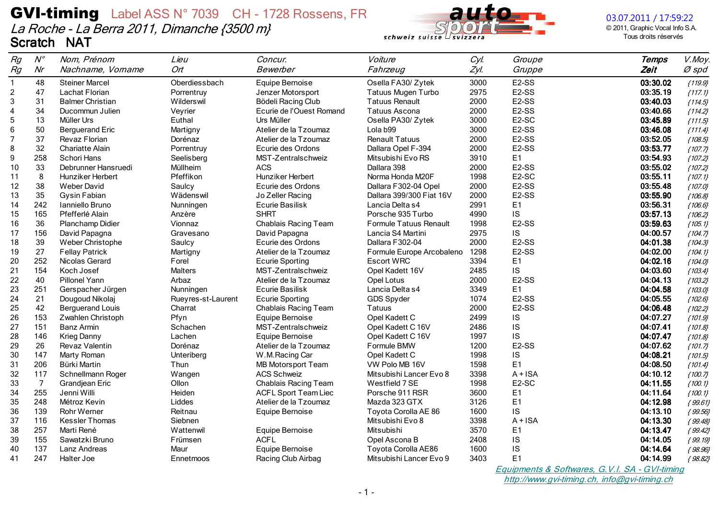

03.07.2011 / 17:59:22

© 2011, Graphic Vocal Info S.A. Tous droits réservés

| Rg             | $N^{\circ}$    | Nom, Prénom             | Lieu               | Concur.                     | Voiture                   | Cyl. | Groupe             | <b>Temps</b> | V.Moy.    |
|----------------|----------------|-------------------------|--------------------|-----------------------------|---------------------------|------|--------------------|--------------|-----------|
| Rg             | Nr             | Nachname, Vorname       | Ort                | Bewerber                    | Fahrzeug                  | Zyl. | Gruppe             | Zeit         | $Ø$ spd   |
| $\mathbf{1}$   | 48             | <b>Steiner Marcel</b>   | Oberdiessbach      | Equipe Bernoise             | Osella FA30/Zytek         | 3000 | E <sub>2</sub> -SS | 03:30.02     | ${119.9}$ |
| $\overline{c}$ | 47             | Lachat Florian          | Porrentruy         | Jenzer Motorsport           | Tatuus Mugen Turbo        | 2975 | E <sub>2</sub> -SS | 03:35.19     | ${117.1}$ |
| $\mathbf{3}$   | 31             | <b>Balmer Christian</b> | Wilderswil         | Bödeli Racing Club          | <b>Tatuus Renault</b>     | 2000 | E <sub>2</sub> -SS | 03:40.03     | ${114.5}$ |
| $\overline{4}$ | 34             | Ducommun Julien         | Veyrier            | Ecurie de l'Ouest Romand    | <b>Tatuus Ascona</b>      | 2000 | E <sub>2</sub> -SS | 03:40.66     | ${114.2}$ |
| 5              | 13             | Müller Urs              | Euthal             | Urs Müller                  | Osella PA30/ Zytek        | 3000 | E <sub>2</sub> -SC | 03:45.89     | ${111.5}$ |
| $\,6\,$        | 50             | <b>Berguerand Eric</b>  | Martigny           | Atelier de la Tzoumaz       | Lola b99                  | 3000 | E <sub>2</sub> -SS | 03:46.08     | ${111.4}$ |
| $\overline{7}$ | 37             | Revaz Florian           | Dorénaz            | Atelier de la Tzoumaz       | <b>Renault Tatuus</b>     | 2000 | E <sub>2</sub> -SS | 03:52.05     | ${108.5}$ |
| 8              | 32             | <b>Chariatte Alain</b>  | Porrentruy         | Ecurie des Ordons           | Dallara Opel F-394        | 2000 | E <sub>2</sub> -SS | 03:53.77     | ${107.7}$ |
| 9              | 258            | Schori Hans             | Seelisberg         | MST-Zentralschweiz          | Mitsubishi Evo RS         | 3910 | E1                 | 03:54.93     | ${107.2}$ |
| 10             | 33             | Debrunner Hansruedi     | Müllheim           | <b>ACS</b>                  | Dallara 398               | 2000 | E <sub>2</sub> -SS | 03:55.02     | ${107.2}$ |
| 11             | 8              | Hunziker Herbert        | Pfeffikon          | Hunziker Herbert            | Norma Honda M20F          | 1998 | E <sub>2</sub> -SC | 03:55.11     | ${107.1}$ |
| 12             | 38             | <b>Weber David</b>      | Saulcy             | Ecurie des Ordons           | Dallara F302-04 Opel      | 2000 | E <sub>2</sub> -SS | 03:55.48     | ${107.0}$ |
| 13             | 35             | Gysin Fabian            | Wädenswil          | Jo Zeller Racing            | Dallara 399/300 Fiat 16V  | 2000 | E <sub>2</sub> -SS | 03:55.90     | ${106.8}$ |
| 14             | 242            | Ianniello Bruno         | Nunningen          | Ecurie Basilisk             | Lancia Delta s4           | 2991 | E <sub>1</sub>     | 03:56.31     | ${106.6}$ |
| 15             | 165            | Pfefferlé Alain         | Anzère             | <b>SHRT</b>                 | Porsche 935 Turbo         | 4990 | IS                 | 03:57.13     | ${106.2}$ |
| 16             | 36             | Planchamp Didier        | Vionnaz            | Chablais Racing Team        | Formule Tatuus Renault    | 1998 | E2-SS              | 03:59.63     | ${105.1}$ |
| 17             | 156            | David Papagna           | Gravesano          | David Papagna               | Lancia S4 Martini         | 2975 | IS                 | 04:00.57     | ${104.7}$ |
| 18             | 39             | Weber Christophe        | Saulcy             | Ecurie des Ordons           | Dallara F302-04           | 2000 | E <sub>2</sub> -SS | 04:01.38     | ${104.3}$ |
| 19             | 27             | <b>Fellay Patrick</b>   | Martigny           | Atelier de la Tzoumaz       | Formule Europe Arcobaleno | 1298 | E <sub>2</sub> -SS | 04:02.00     | ${104.1}$ |
| 20             | 252            | Nicolas Gerard          | Forel              | <b>Ecurie Sporting</b>      | <b>Escort WRC</b>         | 3394 | E1                 | 04:02.16     | ${104.0}$ |
| 21             | 154            | Koch Josef              | Malters            | MST-Zentralschweiz          | Opel Kadett 16V           | 2485 | IS                 | 04:03.60     | ${103.4}$ |
| 22             | 40             | Pillonel Yann           | Arbaz              | Atelier de la Tzoumaz       | Opel Lotus                | 2000 | E <sub>2</sub> -SS | 04:04.13     | ${103.2}$ |
| 23             | 251            | Gerspacher Jürgen       | Nunningen          | Ecurie Basilisk             | Lancia Delta s4           | 3349 | E <sub>1</sub>     | 04:04.58     | ${103.0}$ |
| 24             | 21             | Dougoud Nikolaj         | Rueyres-st-Laurent | <b>Ecurie Sporting</b>      | GDS Spyder                | 1074 | E <sub>2</sub> -SS | 04:05.55     | ${102.6}$ |
| 25             | 42             | <b>Berguerand Louis</b> | Charrat            | Chablais Racing Team        | Tatuus                    | 2000 | E <sub>2</sub> -SS | 04:06.48     | ${102.2}$ |
| 26             | 153            | Zwahlen Christoph       | Pfyn               | Equipe Bernoise             | Opel Kadett C             | 2499 | IS                 | 04:07.27     | ${101.9}$ |
| 27             | 151            | Banz Armin              | Schachen           | MST-Zentralschweiz          | Opel Kadett C 16V         | 2486 | IS                 | 04:07.41     | ${101.8}$ |
| 28             | 146            | <b>Krieg Danny</b>      | Lachen             | Equipe Bernoise             | Opel Kadett C 16V         | 1997 | IS                 | 04:07.47     | ${101.8}$ |
| 29             | 26             | Revaz Valentin          | Dorénaz            | Atelier de la Tzoumaz       | Formule BMW               | 1200 | E <sub>2</sub> -SS | 04:07.62     | ${101.7}$ |
| 30             | 147            | Marty Roman             | Unteriberg         | W.M.Racing Car              | Opel Kadett C             | 1998 | IS                 | 04:08.21     | ${101.5}$ |
| 31             | 206            | Bürki Martin            | Thun               | <b>MB Motorsport Team</b>   | VW Polo MB 16V            | 1598 | E1                 | 04:08.50     | ${101.4}$ |
| 32             | 117            | Schnellmann Roger       | Wangen             | <b>ACS Schweiz</b>          | Mitsubishi Lancer Evo 8   | 3398 | $A + ISA$          | 04:10.12     | ${100.7}$ |
| 33             | $\overline{7}$ | Grandjean Eric          | Ollon              | Chablais Racing Team        | Westfield 7 SE            | 1998 | E <sub>2</sub> -SC | 04:11.55     | ${100.1}$ |
| 34             | 255            | Jenni Willi             | Heiden             | <b>ACFL Sport Team Liec</b> | Porsche 911 RSR           | 3600 | E <sub>1</sub>     | 04:11.64     | ${100.1}$ |
| 35             | 248            | Métroz Kevin            | Liddes             | Atelier de la Tzoumaz       | Mazda 323 GTX             | 3126 | E1                 | 04:12.98     | ${99.61}$ |
| 36             | 139            | <b>Rohr Werner</b>      | Reitnau            | Equipe Bernoise             | Toyota Corolla AE 86      | 1600 | IS                 | 04:13.10     | ${99.56}$ |
| 37             | 116            | <b>Kessler Thomas</b>   | Siebnen            |                             | Mitsubishi Evo 8          | 3398 | $A + ISA$          | 04:13.30     | ${99.48}$ |
| 38             | 257            | Marti René              | Wattenwil          | Equipe Bernoise             | Mitsubishi                | 3570 | E1                 | 04:13.47     | ${99.42}$ |
| 39             | 155            | Sawatzki Bruno          | Frümsen            | <b>ACFL</b>                 | Opel Ascona B             | 2408 | IS                 | 04:14.05     | ${99.19}$ |
| 40             | 137            | Lanz Andreas            | Maur               | Equipe Bernoise             | Toyota Corolla AE86       | 1600 | IS                 | 04:14.64     | ${98.96}$ |
| 41             | 247            | Halter Joe              | Ennetmoos          | Racing Club Airbag          | Mitsubishi Lancer Evo 9   | 3403 | E <sub>1</sub>     | 04:14.99     | ${98.82}$ |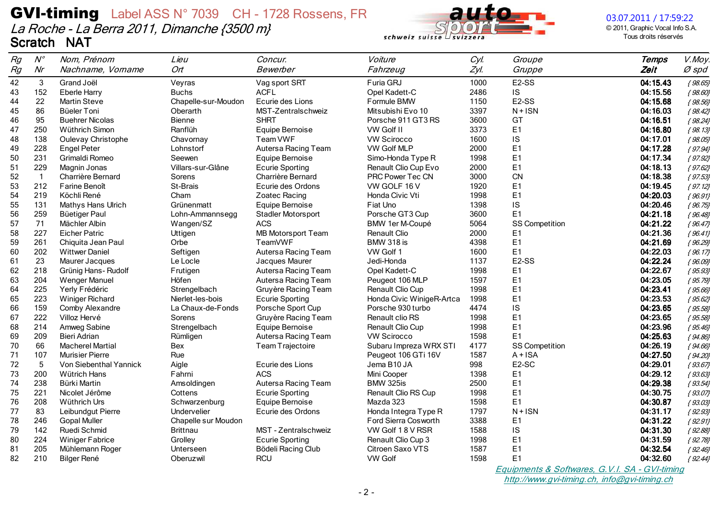

03.07.2011 / 17:59:22

© 2011, Graphic Vocal Info S.A. Tous droits réservés

| Rg | $N^{\circ}$     | Nom, Prénom             | Lieu                | Concur.                   | Voiture                   | Cyl. | Groupe                | <b>Temps</b> | V.Moy.    |
|----|-----------------|-------------------------|---------------------|---------------------------|---------------------------|------|-----------------------|--------------|-----------|
| Rg | Nr              | Nachname, Vorname       | Ort <sup>-</sup>    | Bewerber                  | Fahrzeug                  | Zyl. | Gruppe                | Zeit         | Ø spd     |
| 42 | 3               | Grand Joël              | Veyras              | Vag sport SRT             | Furia GRJ                 | 1000 | E <sub>2</sub> -SS    | 04:15.43     | ${98.65}$ |
| 43 | 152             | <b>Eberle Harry</b>     | <b>Buchs</b>        | <b>ACFL</b>               | Opel Kadett-C             | 2486 | IS                    | 04:15.56     | ${98.60}$ |
| 44 | 22              | <b>Martin Steve</b>     | Chapelle-sur-Moudon | Ecurie des Lions          | Formule BMW               | 1150 | E2-SS                 | 04:15.68     | ${98.56}$ |
| 45 | 86              | Büeler Toni             | Oberarth            | MST-Zentralschweiz        | Mitsubishi Evo 10         | 3397 | $N + ISN$             | 04:16.03     | ${98.42}$ |
| 46 | 95              | <b>Buehrer Nicolas</b>  | <b>Bienne</b>       | <b>SHRT</b>               | Porsche 911 GT3 RS        | 3600 | GT                    | 04:16.51     | ${98.24}$ |
| 47 | 250             | Wüthrich Simon          | Ranflüh             | Equipe Bernoise           | VW Golf II                | 3373 | E <sub>1</sub>        | 04:16.80     | ${98.13}$ |
| 48 | 138             | Oulevay Christophe      | Chavornay           | Team VWF                  | <b>VW Scirocco</b>        | 1600 | IS                    | 04:17.01     | ${98.05}$ |
| 49 | 228             | <b>Engel Peter</b>      | Lohnstorf           | Autersa Racing Team       | <b>VW Golf MLP</b>        | 2000 | E <sub>1</sub>        | 04:17.28     | ${97.94}$ |
| 50 | 231             | Grimaldi Romeo          | Seewen              | Equipe Bernoise           | Simo-Honda Type R         | 1998 | E <sub>1</sub>        | 04:17.34     | ${97.92}$ |
| 51 | 229             | Magnin Jonas            | Villars-sur-Glâne   | <b>Ecurie Sporting</b>    | Renault Clio Cup Evo      | 2000 | E <sub>1</sub>        | 04:18.13     | ${97.62}$ |
| 52 | $\overline{1}$  | Charrière Bernard       | Sorens              | Charrière Bernard         | PRC Power Tec CN          | 3000 | CN                    | 04:18.38     | ${97.53}$ |
| 53 | 212             | Farine Benoît           | St-Brais            | Ecurie des Ordons         | VW GOLF 16 V              | 1920 | E <sub>1</sub>        | 04:19.45     | ${97.12}$ |
| 54 | 219             | Köchli René             | Cham                | Zoatec Racing             | Honda Civic Vti           | 1998 | E <sub>1</sub>        | 04:20.03     | ${96.91}$ |
| 55 | 131             | Mathys Hans Ulrich      | Grünenmatt          | Equipe Bernoise           | Fiat Uno                  | 1398 | IS                    | 04:20.46     | ${96.75}$ |
| 56 | 259             | Büetiger Paul           | Lohn-Ammannsegg     | Stadler Motorsport        | Porsche GT3 Cup           | 3600 | E1                    | 04:21.18     | ${96.48}$ |
| 57 | 71              | Mächler Albin           | Wangen/SZ           | <b>ACS</b>                | BMW 1er M-Coupé           | 5064 | <b>SS Competition</b> | 04:21.22     | ${96.47}$ |
| 58 | 227             | <b>Eicher Patric</b>    | Uttigen             | <b>MB Motorsport Team</b> | Renault Clio              | 2000 | E <sub>1</sub>        | 04:21.36     | ${96.41}$ |
| 59 | 261             | Chiquita Jean Paul      | Orbe                | TeamVWF                   | <b>BMW 318 is</b>         | 4398 | E <sub>1</sub>        | 04:21.69     | ${96.29}$ |
| 60 | 202             | <b>Wittwer Daniel</b>   | Seftigen            | Autersa Racing Team       | VW Golf 1                 | 1600 | E <sub>1</sub>        | 04:22.03     | ${96.17}$ |
| 61 | 23              | Maurer Jacques          | Le Locle            | Jacques Maurer            | Jedi-Honda                | 1137 | E <sub>2</sub> -SS    | 04:22.24     | ${96.09}$ |
| 62 | 218             | Grünig Hans-Rudolf      | Frutigen            | Autersa Racing Team       | Opel Kadett-C             | 1998 | E <sub>1</sub>        | 04:22.67     | ${95.93}$ |
| 63 | 204             | <b>Wenger Manuel</b>    | Höfen               | Autersa Racing Team       | Peugeot 106 MLP           | 1597 | E1                    | 04:23.05     | ${95.79}$ |
| 64 | 225             | Yerly Frédéric          | Strengelbach        | Gruyère Racing Team       | Renault Clio Cup          | 1998 | E <sub>1</sub>        | 04:23.41     | ${95.66}$ |
| 65 | 223             | Winiger Richard         | Nierlet-les-bois    | <b>Ecurie Sporting</b>    | Honda Civic WinigeR-Artca | 1998 | E <sub>1</sub>        | 04:23.53     | ${95.62}$ |
| 66 | 159             | Comby Alexandre         | La Chaux-de-Fonds   | Porsche Sport Cup         | Porsche 930 turbo         | 4474 | IS                    | 04:23.65     | ${95.58}$ |
| 67 | 222             | Villoz Hervé            | Sorens              | Gruyère Racing Team       | Renault clio RS           | 1998 | E <sub>1</sub>        | 04:23.65     | ${95.58}$ |
| 68 | 214             | Amweg Sabine            | Strengelbach        | Equipe Bernoise           | Renault Clio Cup          | 1998 | E <sub>1</sub>        | 04:23.96     | ${95.46}$ |
| 69 | 209             | Bieri Adrian            | Rümligen            | Autersa Racing Team       | <b>VW Scirocco</b>        | 1598 | E <sub>1</sub>        | 04:25.63     | ${94.86}$ |
| 70 | 66              | <b>Macherel Martial</b> | Bex                 | <b>Team Trajectoire</b>   | Subaru Impreza WRX STI    | 4177 | <b>SS Competition</b> | 04:26.19     | ${94.66}$ |
| 71 | 107             | <b>Murisier Pierre</b>  | Rue                 |                           | Peugeot 106 GTi 16V       | 1587 | $A + ISA$             | 04:27.50     | ${94.20}$ |
| 72 | $5\phantom{.0}$ | Von Siebenthal Yannick  | Aigle               | Ecurie des Lions          | Jema B10 JA               | 998  | E <sub>2</sub> -SC    | 04:29.01     | ${93.67}$ |
| 73 | 200             | Wütrich Hans            | Fahrni              | <b>ACS</b>                | Mini Cooper               | 1398 | E <sub>1</sub>        | 04:29.12     | ${93.63}$ |
| 74 | 238             | Bürki Martin            | Amsoldingen         | Autersa Racing Team       | BMW 325is                 | 2500 | E <sub>1</sub>        | 04:29.38     | ${93.54}$ |
| 75 | 221             | Nicolet Jérôme          | Cottens             | <b>Ecurie Sporting</b>    | Renault Clio RS Cup       | 1998 | E <sub>1</sub>        | 04:30.75     | ${93.07}$ |
| 76 | 208             | Wüthrich Urs            | Schwarzenburg       | Equipe Bernoise           | Mazda 323                 | 1598 | E <sub>1</sub>        | 04:30.87     | ${93.03}$ |
| 77 | 83              | Leibundgut Pierre       | Undervelier         | Ecurie des Ordons         | Honda Integra Type R      | 1797 | $N + ISN$             | 04:31.17     | ${92.93}$ |
| 78 | 246             | <b>Gopal Muller</b>     | Chapelle sur Moudon |                           | Ford Sierra Cosworth      | 3388 | E <sub>1</sub>        | 04:31.22     | ${92.91}$ |
| 79 | 142             | Ruedi Schmid            | <b>Brittnau</b>     | MST - Zentralschweiz      | VW Golf 18 V RSR          | 1588 | IS                    | 04:31.30     | ${92.88}$ |
| 80 | 224             | <b>Winiger Fabrice</b>  | Grolley             | <b>Ecurie Sporting</b>    | Renault Clio Cup 3        | 1998 | E <sub>1</sub>        | 04:31.59     | ${92.78}$ |
| 81 | 205             | Mühlemann Roger         | Unterseen           | Bödeli Racing Club        | Citroen Saxo VTS          | 1587 | E <sub>1</sub>        | 04:32.54     | ${92.46}$ |
| 82 | 210             | Bilger René             | Oberuzwil           | <b>RCU</b>                | <b>VW Golf</b>            | 1598 | E <sub>1</sub>        | 04:32.60     | ${92.44}$ |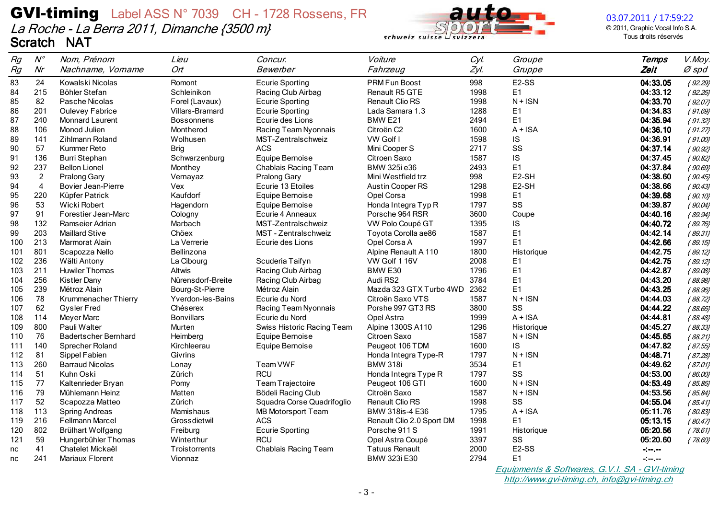

03.07.2011 / 17:59:22

© 2011, Graphic Vocal Info S.A. Tous droits réservés

| Rg  | $N^{\circ}$    | Nom, Prénom                 | Lieu              | Concur.                    | Voiture                   | Cyl. | Groupe             | <b>Temps</b> | V.Moy.    |
|-----|----------------|-----------------------------|-------------------|----------------------------|---------------------------|------|--------------------|--------------|-----------|
| Rg  | Nr             | Nachname, Vorname           | Ort <sup>-</sup>  | Bewerber                   | Fahrzeug                  | Zyl. | Gruppe             | Zeit         | $Ø$ spd   |
| 83  | 24             | Kowalski Nicolas            | Romont            | <b>Ecurie Sporting</b>     | PRM Fun Boost             | 998  | E <sub>2</sub> -SS | 04:33.05     | ${92.29}$ |
| 84  | 215            | Böhler Stefan               | Schleinikon       | Racing Club Airbag         | Renault R5 GTE            | 1998 | Ε1                 | 04:33.12     | ${92.26}$ |
| 85  | 82             | Pasche Nicolas              | Forel (Lavaux)    | <b>Ecurie Sporting</b>     | Renault Clio RS           | 1998 | $N + ISN$          | 04:33.70     | ${92.07}$ |
| 86  | 201            | <b>Oulevey Fabrice</b>      | Villars-Bramard   | <b>Ecurie Sporting</b>     | Lada Samara 1.3           | 1288 | E <sub>1</sub>     | 04:34.83     | ${91.69}$ |
| 87  | 240            | Monnard Laurent             | <b>Bossonnens</b> | Ecurie des Lions           | BMW <sub>E21</sub>        | 2494 | E1                 | 04:35.94     | ${91.32}$ |
| 88  | 106            | Monod Julien                | Montherod         | Racing Team Nyonnais       | Citroën C2                | 1600 | $A + ISA$          | 04:36.10     | ${91.27}$ |
| 89  | 141            | Zihlmann Roland             | Wolhusen          | MST-Zentralschweiz         | VW Golf I                 | 1598 | IS                 | 04:36.91     | ${91.00}$ |
| 90  | 57             | Kummer Reto                 | <b>Brig</b>       | <b>ACS</b>                 | Mini Cooper S             | 2717 | SS                 | 04:37.14     | ${90.92}$ |
| 91  | 136            | <b>Burri Stephan</b>        | Schwarzenburg     | Equipe Bernoise            | Citroen Saxo              | 1587 | IS                 | 04:37.45     | ${90.82}$ |
| 92  | 237            | <b>Bellon Lionel</b>        | Monthey           | Chablais Racing Team       | BMW 325i e36              | 2493 | E1                 | 04:37.84     | ${90.69}$ |
| 93  | $\overline{2}$ | Pralong Gary                | Vernayaz          | Pralong Gary               | Mini Westfield trz        | 998  | E2-SH              | 04:38.60     | ${90.45}$ |
| 94  | $\overline{4}$ | <b>Bovier Jean-Pierre</b>   | Vex               | Ecurie 13 Etoiles          | <b>Austin Cooper RS</b>   | 1298 | E2-SH              | 04:38.66     | ${90.43}$ |
| 95  | 220            | Küpfer Patrick              | Kaufdorf          | Equipe Bernoise            | Opel Corsa                | 1998 | Ε1                 | 04:39.68     | ${90.10}$ |
| 96  | 53             | Wicki Robert                | Hagendorn         | Equipe Bernoise            | Honda Integra Typ R       | 1797 | SS                 | 04:39.87     | ${90.04}$ |
| 97  | 91             | Forestier Jean-Marc         | Cologny           | Ecurie 4 Anneaux           | Porsche 964 RSR           | 3600 | Coupe              | 04:40.16     | ${89.94}$ |
| 98  | 132            | Ramseier Adrian             | <b>Marbach</b>    | MST-Zentralschweiz         | VW Polo Coupé GT          | 1395 | IS                 | 04:40.72     | ${89.76}$ |
| 99  | 203            | <b>Maillard Stive</b>       | Chöex             | MST - Zentralschweiz       | Toyota Corolla ae86       | 1587 | E <sub>1</sub>     | 04:42.14     | ${89.31}$ |
| 100 | 213            | Marmorat Alain              | La Verrerie       | Ecurie des Lions           | Opel Corsa A              | 1997 | E1                 | 04:42.66     | ${89.15}$ |
| 101 | 801            | Scapozza Nello              | Bellinzona        |                            | Alpine Renault A 110      | 1800 | Historique         | 04:42.75     | ${89.12}$ |
| 102 | 236            | Wälti Antony                | La Cibourg        | Scuderia Taifyn            | VW Golf 1 16V             | 2008 | E1                 | 04:42.75     | ${89.12}$ |
| 103 | 211            | <b>Huwiler Thomas</b>       | Altwis            | Racing Club Airbag         | BMW E30                   | 1796 | E <sub>1</sub>     | 04:42.87     | ${89.08}$ |
| 104 | 256            | <b>Kistler Dany</b>         | Nürensdorf-Breite | Racing Club Airbag         | Audi RS2                  | 3784 | E <sub>1</sub>     | 04:43.20     | ${88.98}$ |
| 105 | 239            | Métroz Alain                | Bourg-St-Pierre   | Métroz Alain               | Mazda 323 GTX Turbo 4WD   | 2362 | E1                 | 04:43.25     | ${88.96}$ |
| 106 | 78             | Krummenacher Thierry        | Yverdon-les-Bains | Ecurie du Nord             | Citroën Saxo VTS          | 1587 | $N + ISN$          | 04:44.03     | ${88.72}$ |
| 107 | 62             | <b>Gysler Fred</b>          | Chéserex          | Racing Team Nyonnais       | Porshe 997 GT3 RS         | 3800 | SS                 | 04:44.22     | ${88.66}$ |
| 108 | 114            | <b>Meyer Marc</b>           | <b>Bonvillars</b> | Ecurie du Nord             | Opel Astra                | 1999 | $A + ISA$          | 04:44.81     | ${88.48}$ |
| 109 | 800            | Pauli Walter                | Murten            | Swiss Historic Racing Team | Alpine 1300S A110         | 1296 | Historique         | 04:45.27     | ${88.33}$ |
| 110 | 76             | <b>Badertscher Bernhard</b> | Heimberg          | Equipe Bernoise            | Citroen Saxo              | 1587 | $N + ISN$          | 04:45.65     | ${88.21}$ |
| 111 | 140            | Sprecher Roland             | Kirchleerau       | Equipe Bernoise            | Peugeot 106 TDM           | 1600 | <b>IS</b>          | 04:47.82     | ${87.55}$ |
| 112 | 81             | Sippel Fabien               | Givrins           |                            | Honda Integra Type-R      | 1797 | $N + ISN$          | 04:48.71     | ${87.28}$ |
| 113 | 260            | <b>Barraud Nicolas</b>      | Lonay             | Team VWF                   | <b>BMW 318i</b>           | 3534 | E1                 | 04:49.62     | ${87.01}$ |
| 114 | 51             | Kuhn Oski                   | Zürich            | <b>RCU</b>                 | Honda Integra Type R      | 1797 | SS                 | 04:53.00     | ${86.00}$ |
| 115 | 77             | Kaltenrieder Bryan          | Pomy              | Team Trajectoire           | Peugeot 106 GTI           | 1600 | $N + ISN$          | 04:53.49     | ${85.86}$ |
| 116 | 79             | Mühlemann Heinz             | Matten            | Bödeli Racing Club         | Citroën Saxo              | 1587 | $N + ISN$          | 04:53.56     | ${85.84}$ |
| 117 | 52             | Scapozza Matteo             | Zürich            | Squadra Corse Quadrifoglio | <b>Renault Clio RS</b>    | 1998 | SS                 | 04:55.04     | ${85.41}$ |
| 118 | 113            | <b>Spring Andreas</b>       | Mamishaus         | MB Motorsport Team         | BMW 318is-4 E36           | 1795 | $A + ISA$          | 05:11.76     | ${80.83}$ |
| 119 | 216            | Fellmann Marcel             | Grossdietwil      | <b>ACS</b>                 | Renault Clio 2.0 Sport DM | 1998 | E <sub>1</sub>     | 05:13.15     | ${80.47}$ |
| 120 | 802            | Brülhart Wolfgang           | Freiburg          | <b>Ecurie Sporting</b>     | Porsche 911 S             | 1991 | Historique         | 05:20.56     | ${78.61}$ |
| 121 | 59             | Hungerbühler Thomas         | Winterthur        | <b>RCU</b>                 | Opel Astra Coupé          | 3397 | SS                 | 05:20.60     | ${78.60}$ |
| nc  | 41             | Chatelet Mickaël            | Troistorrents     | Chablais Racing Team       | <b>Tatuus Renault</b>     | 2000 | E <sub>2</sub> -SS | -:--.--      |           |
| nc  | 241            | Mariaux Florent             | Vionnaz           |                            | BMW 323i E30              | 2794 | Ε1                 | $\div$       |           |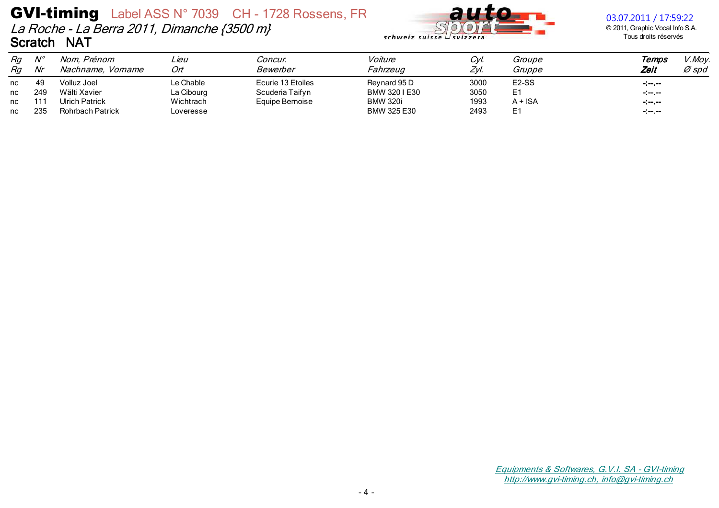

### 03.07.2011 / 17:59:22

© 2011, Graphic Vocal Info S.A. Tous droits réservés

| Rg<br>Rg | $\mathcal{N}^{\mathit{o}}$<br>Nr | Nom, Prénom<br>Nachname, Vorname | ∟ieu<br>Ort | Concur.<br>Bewerber | Voiture<br><i>Fahrzeug</i> | Cyl.<br>Zyl. | Groupe<br>Gruppe   | Temps<br>Zeit    | V.Moy.<br>Ø spd |
|----------|----------------------------------|----------------------------------|-------------|---------------------|----------------------------|--------------|--------------------|------------------|-----------------|
| nc       | 49                               | Volluz Joel                      | Le Chable   | Ecurie 13 Etoiles   | Reynard 95 D               | 3000         | E <sub>2</sub> -SS | $-1 - 1 - 1$     |                 |
| nc       | 249                              | Wälti Xavier                     | La Cibourg  | Scuderia Taifyn     | BMW 3201E30                | 3050         | E1                 | $-1 - 1 - 1 - 1$ |                 |
| nc       | 111                              | <b>Ulrich Patrick</b>            | Wichtrach   | Equipe Bernoise     | <b>BMW 320i</b>            | 1993         | $A + ISA$          | $-1 - 1 - 1$     |                 |
| nc       | 235                              | <b>Rohrbach Patrick</b>          | Loveresse   |                     | BMW 325 E30                | 2493         | E1                 | $-1 - 1 - 1$     |                 |